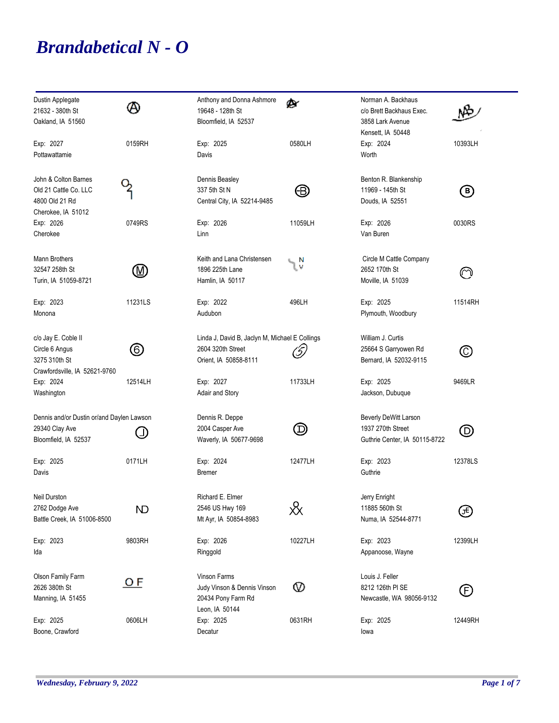## *Brandabetical N - O*

| Dustin Applegate<br>21632 - 380th St<br>Oakland, IA 51560                               | Α                           | Anthony and Donna Ashmore<br>19648 - 128th St<br>Bloomfield, IA 52537                        | ø۰                                        | Norman A. Backhaus<br>c/o Brett Backhaus Exec.<br>3858 Lark Avenue<br>Kensett, IA 50448 |                |
|-----------------------------------------------------------------------------------------|-----------------------------|----------------------------------------------------------------------------------------------|-------------------------------------------|-----------------------------------------------------------------------------------------|----------------|
| Exp: 2027<br>Pottawattamie                                                              | 0159RH                      | Exp: 2025<br>Davis                                                                           | 0580LH                                    | Exp: 2024<br>Worth                                                                      | 10393LH        |
| John & Colton Barnes<br>Old 21 Cattle Co. LLC<br>4800 Old 21 Rd<br>Cherokee, IA 51012   |                             | Dennis Beasley<br>337 5th St N<br>Central City, IA 52214-9485                                | ⊕                                         | Benton R. Blankenship<br>11969 - 145th St<br>Douds, IA 52551                            | ℗              |
| Exp: 2026<br>Cherokee                                                                   | 0749RS                      | Exp: 2026<br>Linn                                                                            | 11059LH                                   | Exp: 2026<br>Van Buren                                                                  | 0030RS         |
| Mann Brothers<br>32547 258th St<br>Turin, IA 51059-8721                                 | $(\!\!\!\!\!{\mathbb M}\!)$ | Keith and Lana Christensen<br>1896 225th Lane<br>Hamlin, IA 50117                            | ιV                                        | Circle M Cattle Company<br>2652 170th St<br>Moville, IA 51039                           | ര              |
| Exp: 2023<br>Monona                                                                     | 11231LS                     | Exp: 2022<br>Audubon                                                                         | 496LH                                     | Exp: 2025<br>Plymouth, Woodbury                                                         | 11514RH        |
| c/o Jay E. Coble II<br>Circle 6 Angus<br>3275 310th St<br>Crawfordsville, IA 52621-9760 | $\circledcirc$              | Linda J, David B, Jaclyn M, Michael E Collings<br>2604 320th Street<br>Orient, IA 50858-8111 | (5)                                       | William J. Curtis<br>25664 S Garryowen Rd<br>Bernard, IA 52032-9115                     | $\circledcirc$ |
| Exp: 2024<br>Washington                                                                 | 12514LH                     | Exp: 2027<br>Adair and Story                                                                 | 11733LH                                   | Exp: 2025<br>Jackson, Dubuque                                                           | 9469LR         |
| Dennis and/or Dustin or/and Daylen Lawson<br>29340 Clay Ave<br>Bloomfield, IA 52537     |                             | Dennis R. Deppe<br>2004 Casper Ave<br>Waverly, IA 50677-9698                                 | $\bm{\mathord{\textcircled{\mathbb{D}}}}$ | Beverly DeWitt Larson<br>1937 270th Street<br>Guthrie Center, IA 50115-8722             | $\circledcirc$ |
| Exp: 2025<br>Davis                                                                      | 0171LH                      | Exp: 2024<br><b>Bremer</b>                                                                   | 12477LH                                   | Exp: 2023<br>Guthrie                                                                    | 12378LS        |
| <b>Neil Durston</b><br>2762 Dodge Ave<br>Battle Creek, IA 51006-8500                    | ND                          | Richard E. Elmer<br>2546 US Hwy 169<br>Mt Ayr, IA 50854-8983                                 | ⋉                                         | Jerry Enright<br>11885 560th St<br>Numa, IA 52544-8771                                  | ⊕              |
| Exp: 2023<br>Ida                                                                        | 9803RH                      | Exp: 2026<br>Ringgold                                                                        | 10227LH                                   | Exp: 2023<br>Appanoose, Wayne                                                           | 12399LH        |
| Olson Family Farm<br>2626 380th St<br>Manning, IA 51455                                 | <u>O F</u>                  | Vinson Farms<br>Judy Vinson & Dennis Vinson<br>20434 Pony Farm Rd<br>Leon, IA 50144          | စ                                         | Louis J. Feller<br>8212 126th PI SE<br>Newcastle, WA 98056-9132                         | (F)            |
| Exp: 2025<br>Boone, Crawford                                                            | 0606LH                      | Exp: 2025<br>Decatur                                                                         | 0631RH                                    | Exp: 2025<br>lowa                                                                       | 12449RH        |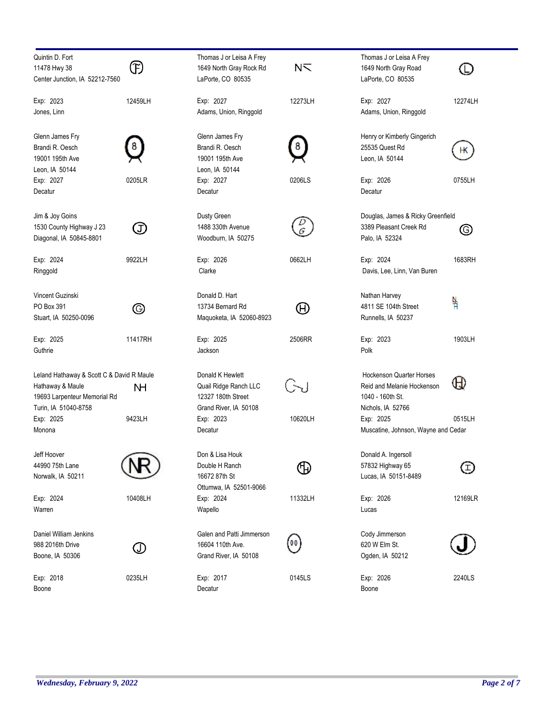| Quintin D. Fort                           |             | Thomas J or Leisa A Frey  |                                    | Thomas J or Leisa A Frey            |         |
|-------------------------------------------|-------------|---------------------------|------------------------------------|-------------------------------------|---------|
| 11478 Hwy 38                              | Œ           | 1649 North Gray Rock Rd   | N <sub>1</sub>                     | 1649 North Gray Road                |         |
| Center Junction, IA 52212-7560            |             | LaPorte, CO 80535         |                                    | LaPorte, CO 80535                   |         |
|                                           |             |                           |                                    |                                     |         |
| Exp: 2023                                 | 12459LH     | Exp: 2027                 | 12273LH                            | Exp: 2027                           | 12274LH |
| Jones, Linn                               |             | Adams, Union, Ringgold    |                                    | Adams, Union, Ringgold              |         |
|                                           |             |                           |                                    |                                     |         |
| Glenn James Fry                           |             | Glenn James Fry           |                                    | Henry or Kimberly Gingerich         |         |
| Brandi R. Oesch                           |             | Brandi R. Oesch           |                                    | 25535 Quest Rd                      |         |
| 19001 195th Ave                           |             | 19001 195th Ave           |                                    | Leon, IA 50144                      | Н٨      |
| Leon, IA 50144                            |             | Leon, IA 50144            |                                    |                                     |         |
| Exp: 2027                                 | 0205LR      | Exp: 2027                 | 0206LS                             | Exp: 2026                           | 0755LH  |
| Decatur                                   |             | Decatur                   |                                    | Decatur                             |         |
|                                           |             |                           |                                    |                                     |         |
| Jim & Joy Goins                           |             | Dusty Green               |                                    | Douglas, James & Ricky Greenfield   |         |
| 1530 County Highway J 23                  | Œ           | 1488 330th Avenue         |                                    | 3389 Pleasant Creek Rd              | O)      |
| Diagonal, IA 50845-8801                   |             | Woodburn, IA 50275        |                                    | Palo, IA 52324                      |         |
|                                           |             |                           |                                    |                                     |         |
| Exp: 2024                                 | 9922LH      | Exp: 2026                 | 0662LH                             | Exp: 2024                           | 1683RH  |
| Ringgold                                  |             | Clarke                    |                                    | Davis, Lee, Linn, Van Buren         |         |
|                                           |             |                           |                                    |                                     |         |
| Vincent Guzinski                          |             | Donald D. Hart            |                                    | Nathan Harvey                       |         |
| PO Box 391                                | ⊚           | 13734 Bernard Rd          | $\large{\textcircled{\textsf{H}}}$ | 4811 SE 104th Street                | 붞       |
| Stuart, IA 50250-0096                     |             | Maquoketa, IA 52060-8923  |                                    | Runnells, IA 50237                  |         |
|                                           |             |                           |                                    |                                     |         |
| Exp: 2025                                 | 11417RH     | Exp: 2025                 | 2506RR                             | Exp: 2023                           | 1903LH  |
| Guthrie                                   |             | Jackson                   |                                    | Polk                                |         |
|                                           |             |                           |                                    |                                     |         |
| Leland Hathaway & Scott C & David R Maule |             | Donald K Hewlett          |                                    | <b>Hockenson Quarter Horses</b>     |         |
| Hathaway & Maule                          | NH          | Quail Ridge Ranch LLC     |                                    | Reid and Melanie Hockenson          | Ή       |
| 19693 Larpenteur Memorial Rd              |             | 12327 180th Street        |                                    | 1040 - 160th St.                    |         |
| Turin, IA 51040-8758                      |             | Grand River, IA 50108     |                                    | Nichols, IA 52766                   |         |
| Exp: 2025                                 | 9423LH      | Exp: 2023                 | 10620LH                            | Exp: 2025                           | 0515LH  |
| Monona                                    |             | Decatur                   |                                    | Muscatine, Johnson, Wayne and Cedar |         |
|                                           |             |                           |                                    |                                     |         |
| Jeff Hoover                               |             | Don & Lisa Houk           |                                    | Donald A. Ingersoll                 |         |
| 44990 75th Lane                           |             | Double H Ranch            | ሇ                                  | 57832 Highway 65                    | Ξ       |
| Norwalk, IA 50211                         |             | 16672 87th St             |                                    | Lucas, IA 50151-8489                |         |
|                                           |             | Ottumwa, IA 52501-9066    |                                    |                                     |         |
| Exp: 2024                                 | 10408LH     | Exp: 2024                 | 11332LH                            | Exp: 2026                           | 12169LR |
| Warren                                    |             | Wapello                   |                                    | Lucas                               |         |
|                                           |             |                           |                                    |                                     |         |
| Daniel William Jenkins                    |             | Galen and Patti Jimmerson |                                    | Cody Jimmerson                      |         |
| 988 2016th Drive                          | $\mathbb O$ | 16604 110th Ave.          | 00                                 | 620 W Elm St.                       |         |
| Boone, IA 50306                           |             | Grand River, IA 50108     |                                    | Ogden, IA 50212                     |         |
|                                           |             |                           |                                    |                                     |         |
| Exp: 2018                                 | 0235LH      | Exp: 2017                 | 0145LS                             | Exp: 2026                           | 2240LS  |
| Boone                                     |             | Decatur                   |                                    | Boone                               |         |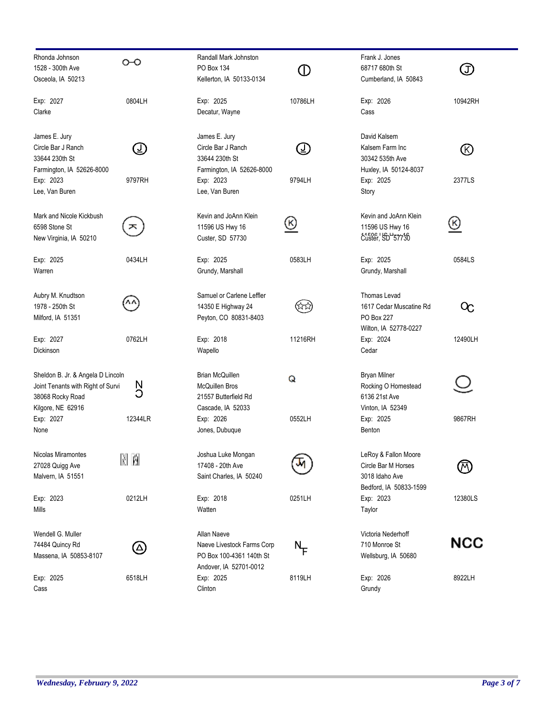| Rhonda Johnson<br>1528 - 300th Ave<br>Osceola, IA 50213                                                         | ⊶                        | Randall Mark Johnston<br>PO Box 134<br>Kellerton, IA 50133-0134                                 | (D                 | Frank J. Jones<br>68717 680th St<br>Cumberland, IA 50843                                | (J)                       |
|-----------------------------------------------------------------------------------------------------------------|--------------------------|-------------------------------------------------------------------------------------------------|--------------------|-----------------------------------------------------------------------------------------|---------------------------|
| Exp: 2027<br>Clarke                                                                                             | 0804LH                   | Exp: 2025<br>Decatur, Wayne                                                                     | 10786LH            | Exp: 2026<br>Cass                                                                       | 10942RH                   |
| James E. Jury<br>Circle Bar J Ranch<br>33644 230th St<br>Farmington, IA 52626-8000                              | $\bigcirc$               | James E. Jury<br>Circle Bar J Ranch<br>33644 230th St<br>Farmington, IA 52626-8000              | $\circledcirc$     | David Kalsem<br>Kalsem Farm Inc<br>30342 535th Ave<br>Huxley, IA 50124-8037             | $\circledR$               |
| Exp: 2023<br>Lee, Van Buren                                                                                     | 9797RH                   | Exp: 2023<br>Lee, Van Buren                                                                     | 9794LH             | Exp: 2025<br>Story                                                                      | 2377LS                    |
| Mark and Nicole Kickbush<br>6598 Stone St<br>New Virginia, IA 50210                                             | ᄎ                        | Kevin and JoAnn Klein<br>11596 US Hwy 16<br>Custer, SD 57730                                    | ଓ                  | Kevin and JoAnn Klein<br>11596 US Hwy 16<br>custer, 50 57736                            | ত                         |
| Exp: 2025<br>Warren                                                                                             | 0434LH                   | Exp: 2025<br>Grundy, Marshall                                                                   | 0583LH             | Exp: 2025<br>Grundy, Marshall                                                           | 0584LS                    |
| Aubry M. Knudtson<br>1978 - 250th St<br>Milford, IA 51351                                                       |                          | Samuel or Carlene Leffler<br>14350 E Highway 24<br>Peyton, CO 80831-8403                        | ಸಿಸ                | Thomas Levad<br>1617 Cedar Muscatine Rd<br>PO Box 227<br>Wilton, IA 52778-0227          | $\alpha$                  |
| Exp: 2027<br>Dickinson                                                                                          | 0762LH                   | Exp: 2018<br>Wapello                                                                            | 11216RH            | Exp: 2024<br>Cedar                                                                      | 12490LH                   |
| Sheldon B. Jr. & Angela D Lincoln<br>Joint Tenants with Right of Survi<br>38068 Rocky Road<br>Kilgore, NE 62916 | N<br>C                   | <b>Brian McQuillen</b><br><b>McQuillen Bros</b><br>21557 Butterfield Rd<br>Cascade, IA 52033    | Q                  | <b>Bryan Milner</b><br>Rocking O Homestead<br>6136 21st Ave<br>Vinton, IA 52349         |                           |
| Exp: 2027<br>None                                                                                               | 12344LR                  | Exp: 2026<br>Jones, Dubuque                                                                     | 0552LH             | Exp: 2025<br>Benton                                                                     | 9867RH                    |
| Nicolas Miramontes<br>27028 Quigg Ave<br>Malvern, IA 51551                                                      | M M                      | Joshua Luke Mongan<br>17408 - 20th Ave<br>Saint Charles, IA 50240                               | ज                  | LeRoy & Fallon Moore<br>Circle Bar M Horses<br>3018 Idaho Ave<br>Bedford, IA 50833-1599 | $(\overline{\mathsf{M}})$ |
| Exp: 2023<br>Mills                                                                                              | 0212LH                   | Exp: 2018<br>Watten                                                                             | 0251LH             | Exp: 2023<br>Taylor                                                                     | 12380LS                   |
| Wendell G. Muller<br>74484 Quincy Rd<br>Massena, IA 50853-8107                                                  | $\left(  \Delta \right)$ | Allan Naeve<br>Naeve Livestock Farms Corp<br>PO Box 100-4361 140th St<br>Andover, IA 52701-0012 | $N_{\overline{F}}$ | Victoria Nederhoff<br>710 Monroe St<br>Wellsburg, IA 50680                              | NCC                       |
| Exp: 2025<br>Cass                                                                                               | 6518LH                   | Exp: 2025<br>Clinton                                                                            | 8119LH             | Exp: 2026<br>Grundy                                                                     | 8922LH                    |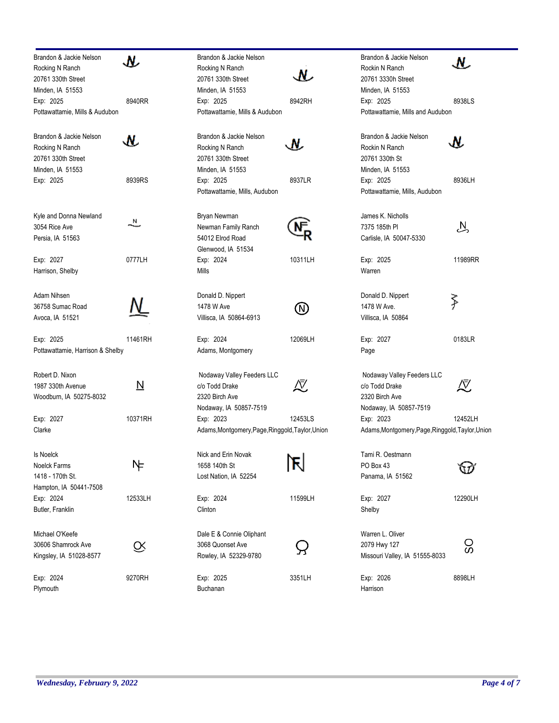| Brandon & Jackie Nelson                | м       | Brandon & Jackie                      |
|----------------------------------------|---------|---------------------------------------|
| Rocking N Ranch                        |         | Rocking N Ranch                       |
| 20761 330th Street<br>Minden, IA 51553 |         | 20761 330th Stree<br>Minden, IA 51553 |
| Exp: 2025                              | 8940RR  | Exp: 2025                             |
| Pottawattamie, Mills & Audubon         |         | Pottawattamie, Mi                     |
| Brandon & Jackie Nelson                |         | Brandon & Jackie                      |
| Rocking N Ranch                        |         | Rocking N Ranch                       |
| 20761 330th Street                     |         | 20761 330th Stree                     |
| Minden, IA 51553<br>Exp: 2025          | 8939RS  | Minden, IA 51553<br>Exp: 2025         |
|                                        |         | Pottawattamie, Mi                     |
| Kyle and Donna Newland                 |         | Bryan Newman                          |
| 3054 Rice Ave                          | N       | Newman Family F                       |
| Persia, IA 51563                       |         | 54012 Elrod Roac                      |
|                                        |         | Glenwood, IA 51                       |
| Exp: 2027<br>Harrison, Shelby          | 0777LH  | Exp: 2024<br><b>Mills</b>             |
| Adam Nihsen                            |         | Donald D. Nippert                     |
| 36758 Sumac Road                       |         | 1478 W Ave                            |
| Avoca, IA 51521                        |         | Villisca, IA 50864                    |
| Exp: 2025                              | 11461RH | Exp: 2024                             |
| Pottawattamie, Harrison & Shelby       |         | Adams, Montgom                        |
| Robert D. Nixon                        |         | Nodaway Valley I                      |
| 1987 330th Avenue                      | N       | c/o Todd Drake                        |
| Woodburn, IA 50275-8032                |         | 2320 Birch Ave                        |
| Exp: 2027                              | 10371RH | Nodaway, IA 508<br>Exp: 2023          |
| Clarke                                 |         | Adams, Montgome                       |
| <b>Is Noelck</b>                       |         | Nick and Erin Nov                     |
| Noelck Farms                           | ℕ       | 1658 140th St                         |
| 1418 - 170th St.                       |         | Lost Nation, IA 52                    |
| Hampton, IA 50441-7508                 |         |                                       |
| Exp: 2024<br>Butler, Franklin          | 12533LH | Exp: 2024<br>Clinton                  |
| Michael O'Keefe                        |         | Dale E & Connie (                     |
| 30606 Shamrock Ave                     |         | 3068 Quonset Ave                      |
| Kingsley, IA 51028-8577                |         | Rowley, IA 52329                      |
| Exp: 2024                              | 9270RH  | Exp: 2025                             |
| Plymouth                               |         | Buchanan                              |

| Brandon & Jackie Nelson<br>Rocking N Ranch<br>20761 330th Street                         | N         | Brandon & Jackie Nelson<br>Rockin N Ranch<br>20761 3330h Street                          | Ν.      |
|------------------------------------------------------------------------------------------|-----------|------------------------------------------------------------------------------------------|---------|
| Minden, IA 51553<br>Exp: 2025<br>Pottawattamie, Mills & Audubon                          | 8942RH    | Minden, IA 51553<br>Exp: 2025<br>Pottawattamie, Mills and Audubon                        | 8938LS  |
| Brandon & Jackie Nelson<br>Rocking N Ranch<br>20761 330th Street                         | м.        | Brandon & Jackie Nelson<br>Rockin N Ranch<br>20761 330th St                              |         |
| Minden, IA 51553<br>Exp: 2025<br>Pottawattamie, Mills, Audubon                           | 8937LR    | Minden, IA 51553<br>Exp: 2025<br>Pottawattamie, Mills, Audubon                           | 8936LH  |
| Bryan Newman<br>Newman Family Ranch<br>54012 Elrod Road<br>Glenwood, IA 51534            |           | James K. Nicholls<br>7375 185th PI<br>Carlisle, IA 50047-5330                            | 丛       |
| Exp: 2024<br>Mills                                                                       | 10311LH   | Exp: 2025<br>Warren                                                                      | 11989RR |
| Donald D. Nippert<br>1478 W Ave<br>Villisca, IA 50864-6913                               | N)        | Donald D. Nippert<br>1478 W Ave.<br>Villisca, IA 50864                                   | ≸       |
| Exp: 2024<br>Adams, Montgomery                                                           | 12069LH   | Exp: 2027<br>Page                                                                        | 0183LR  |
| Nodaway Valley Feeders LLC<br>c/o Todd Drake<br>2320 Birch Ave<br>Nodaway, IA 50857-7519 | /V        | Nodaway Valley Feeders LLC<br>c/o Todd Drake<br>2320 Birch Ave<br>Nodaway, IA 50857-7519 | ∆√      |
| Exp: 2023<br>Adams, Montgomery, Page, Ringgold, Taylor, Union                            | 12453LS   | Exp: 2023<br>Adams, Montgomery, Page, Ringgold, Taylor, Union                            | 12452LH |
| Nick and Erin Novak<br>1658 140th St<br>Lost Nation, IA 52254                            | N-I<br>IÑ | Tami R. Oestmann<br>PO Box 43<br>Panama, IA 51562                                        |         |
| Exp: 2024<br>Clinton                                                                     | 11599LH   | Exp: 2027<br>Shelby                                                                      | 12290LH |
| Dale E & Connie Oliphant<br>3068 Quonset Ave<br>Rowley, IA 52329-9780                    |           | Warren L. Oliver<br>2079 Hwy 127<br>Missouri Valley, IA 51555-8033                       | ပ္တ     |
| Exp: 2025<br>Buchanan                                                                    | 3351LH    | Exp: 2026<br>Harrison                                                                    | 8898LH  |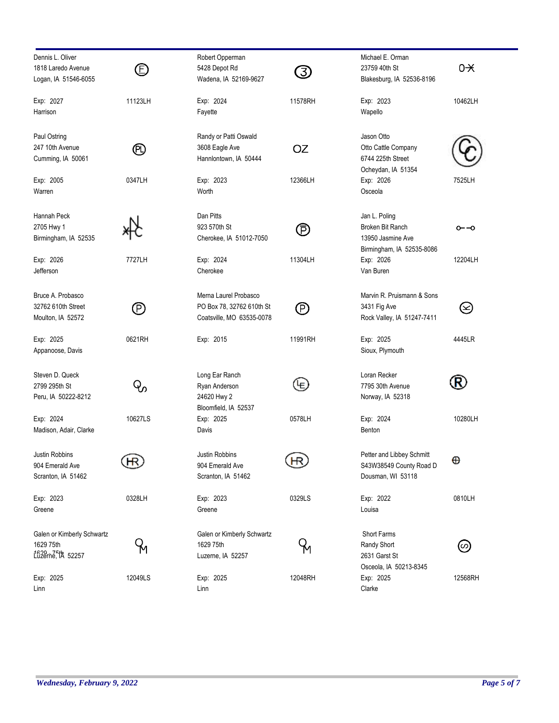| Dennis L. Oliver<br>1818 Laredo Avenue<br>Logan, IA 51546-6055 | $\circledB$    | Robert Opperman<br>5428 Depot Rd<br>Wadena, IA 52169-9627                       | 3)        | Michael E. Orman<br>23759 40th St<br>Blakesburg, IA 52536-8196                      | $0 + $  |
|----------------------------------------------------------------|----------------|---------------------------------------------------------------------------------|-----------|-------------------------------------------------------------------------------------|---------|
| Exp: 2027<br>Harrison                                          | 11123LH        | Exp: 2024<br>Fayette                                                            | 11578RH   | Exp: 2023<br>Wapello                                                                | 10462LH |
| Paul Ostring<br>247 10th Avenue<br>Cumming, IA 50061           | ℗              | Randy or Patti Oswald<br>3608 Eagle Ave<br>Hannlontown, IA 50444                | <b>OZ</b> | Jason Otto<br>Otto Cattle Company<br>6744 225th Street<br>Ocheydan, IA 51354        |         |
| Exp: 2005<br>Warren                                            | 0347LH         | Exp: 2023<br>Worth                                                              | 12366LH   | Exp: 2026<br>Osceola                                                                | 7525LH  |
| Hannah Peck<br>2705 Hwy 1<br>Birmingham, IA 52535              |                | Dan Pitts<br>923 570th St<br>Cherokee, IA 51012-7050                            | ℗         | Jan L. Poling<br>Broken Bit Ranch<br>13950 Jasmine Ave<br>Birmingham, IA 52535-8086 | ⊶0      |
| Exp: 2026<br>Jefferson                                         | 7727LH         | Exp: 2024<br>Cherokee                                                           | 11304LH   | Exp: 2026<br>Van Buren                                                              | 12204LH |
| Bruce A. Probasco<br>32762 610th Street<br>Moulton, IA 52572   | $\circledcirc$ | Merna Laurel Probasco<br>PO Box 78, 32762 610th St<br>Coatsville, MO 63535-0078 | P)        | Marvin R. Pruismann & Sons<br>3431 Fig Ave<br>Rock Valley, IA 51247-7411            | $\odot$ |
| Exp: 2025<br>Appanoose, Davis                                  | 0621RH         | Exp: 2015                                                                       | 11991RH   | Exp: 2025<br>Sioux, Plymouth                                                        | 4445LR  |
| Steven D. Queck<br>2799 295th St<br>Peru, IA 50222-8212        | Q,             | Long Ear Ranch<br>Ryan Anderson<br>24620 Hwy 2<br>Bloomfield, IA 52537          | ⊌         | Loran Recker<br>7795 30th Avenue<br>Norway, IA 52318                                | (R)     |
| Exp: 2024<br>Madison, Adair, Clarke                            | 10627LS        | Exp: 2025<br>Davis                                                              | 0578LH    | Exp: 2024<br>Benton                                                                 | 10280LH |
| Justin Robbins<br>904 Emerald Ave<br>Scranton, IA 51462        | НR             | Justin Robbins<br>904 Emerald Ave<br>Scranton, IA 51462                         | ĮЮ        | Petter and Libbey Schmitt<br>S43W38549 County Road D<br>Dousman, WI 53118           | ⊕       |
| Exp: 2023<br>Greene                                            | 0328LH         | Exp: 2023<br>Greene                                                             | 0329LS    | Exp: 2022<br>Louisa                                                                 | 0810LH  |
| Galen or Kimberly Schwartz<br>1629 75th<br>1620 75th 52257     |                | Galen or Kimberly Schwartz<br>1629 75th<br>Luzerne, IA 52257                    |           | Short Farms<br>Randy Short<br>2631 Garst St<br>Osceola, IA 50213-8345               | (∽)     |
| Exp: 2025<br>Linn                                              | 12049LS        | Exp: 2025<br>Linn                                                               | 12048RH   | Exp: 2025<br>Clarke                                                                 | 12568RH |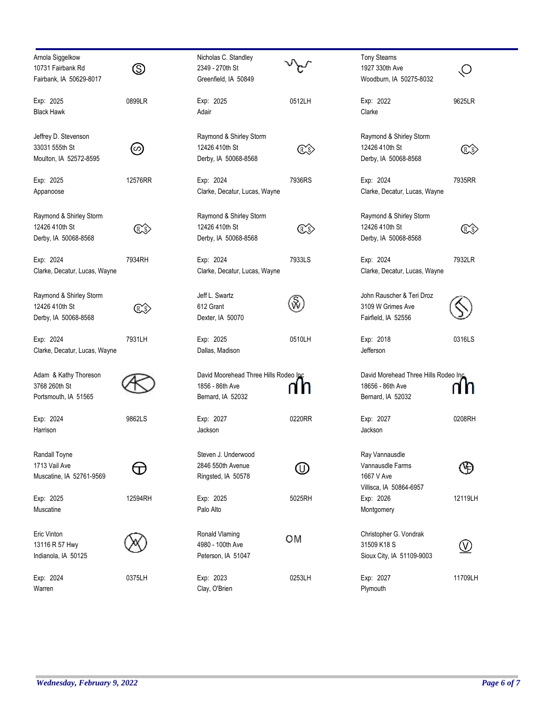| Arnola Siggelkow              |                | Nicholas C. Standley                  |                | <b>Tony Stearns</b>                   |                     |
|-------------------------------|----------------|---------------------------------------|----------------|---------------------------------------|---------------------|
| 10731 Fairbank Rd             | $\circledS$    | 2349 - 270th St                       |                | 1927 330th Ave                        | O                   |
| Fairbank, IA 50629-8017       |                | Greenfield, IA 50849                  |                | Woodburn, IA 50275-8032               |                     |
| Exp: 2025                     | 0899LR         | Exp: 2025                             | 0512LH         | Exp: 2022                             | 9625LR              |
| Black Hawk                    |                | Adair                                 |                | Clarke                                |                     |
| Jeffrey D. Stevenson          |                | Raymond & Shirley Storm               |                | Raymond & Shirley Storm               |                     |
| 33031 555th St                | (ဟ)            | 12426 410th St                        | (R)S)          | 12426 410th St                        | (R.S                |
| Moulton, IA 52572-8595        |                | Derby, IA 50068-8568                  |                | Derby, IA 50068-8568                  |                     |
| Exp: 2025                     | 12576RR        | Exp: 2024                             | 7936RS         | Exp: 2024                             | 7935RR              |
| Appanoose                     |                | Clarke, Decatur, Lucas, Wayne         |                | Clarke, Decatur, Lucas, Wayne         |                     |
| Raymond & Shirley Storm       |                | Raymond & Shirley Storm               |                | Raymond & Shirley Storm               |                     |
| 12426 410th St                | (RXS)          | 12426 410th St                        | $\mathbb{C}$ s | 12426 410th St                        | (R)s                |
| Derby, IA 50068-8568          |                | Derby, IA 50068-8568                  |                | Derby, IA 50068-8568                  |                     |
| Exp: 2024                     | 7934RH         | Exp: 2024                             | 7933LS         | Exp: 2024                             | 7932LR              |
| Clarke, Decatur, Lucas, Wayne |                | Clarke, Decatur, Lucas, Wayne         |                | Clarke, Decatur, Lucas, Wayne         |                     |
| Raymond & Shirley Storm       |                | Jeff L. Swartz                        |                | John Rauscher & Teri Droz             |                     |
| 12426 410th St                | (RXS)          | 612 Grant                             | ŵ              | 3109 W Grimes Ave                     |                     |
| Derby, IA 50068-8568          |                | Dexter, IA 50070                      |                | Fairfield, IA 52556                   |                     |
| Exp: 2024                     | 7931LH         | Exp: 2025                             | 0510LH         | Exp: 2018                             | 0316LS              |
| Clarke, Decatur, Lucas, Wayne |                | Dallas, Madison                       |                | Jefferson                             |                     |
| Adam & Kathy Thoreson         |                | David Moorehead Three Hills Rodeo Inc |                | David Morehead Three Hills Rodeo Inc  |                     |
| 3768 260th St                 |                | 1856 - 86th Ave                       |                | 18656 - 86th Ave                      |                     |
| Portsmouth, IA 51565          |                | Bernard, IA 52032                     |                | Bernard, IA 52032                     |                     |
| Exp: 2024                     | 9862LS         | Exp: 2027                             | 0220RR         | Exp: 2027                             | 0208RH              |
| Harrison                      |                | Jackson                               |                | Jackson                               |                     |
| Randall Toyne                 |                | Steven J. Underwood                   |                | Ray Vannausdle                        |                     |
| 1713 Vail Ave                 | $\blacksquare$ | 2846 550th Avenue                     | (U)            | Vannausdle Farms                      | Ð                   |
| Muscatine, IA 52761-9569      |                | Ringsted, IA 50578                    |                | 1667 V Ave<br>Villisca, IA 50864-6957 |                     |
| Exp: 2025                     | 12594RH        | Exp: 2025                             | 5025RH         | Exp: 2026                             | 12119LH             |
| Muscatine                     |                | Palo Alto                             |                | Montgomery                            |                     |
| Eric Vinton                   |                | Ronald Vlaming                        |                | Christopher G. Vondrak                |                     |
| 13116 R 57 Hwy                |                | 4980 - 100th Ave                      | OМ             | 31509 K18 S                           | $\overline{\omega}$ |
| Indianola, IA 50125           |                | Peterson, IA 51047                    |                | Sioux City, IA 51109-9003             |                     |
| Exp: 2024                     | 0375LH         | Exp: 2023                             | 0253LH         | Exp: 2027                             | 11709LH             |
| Warren                        |                | Clay, O'Brien                         |                | Plymouth                              |                     |